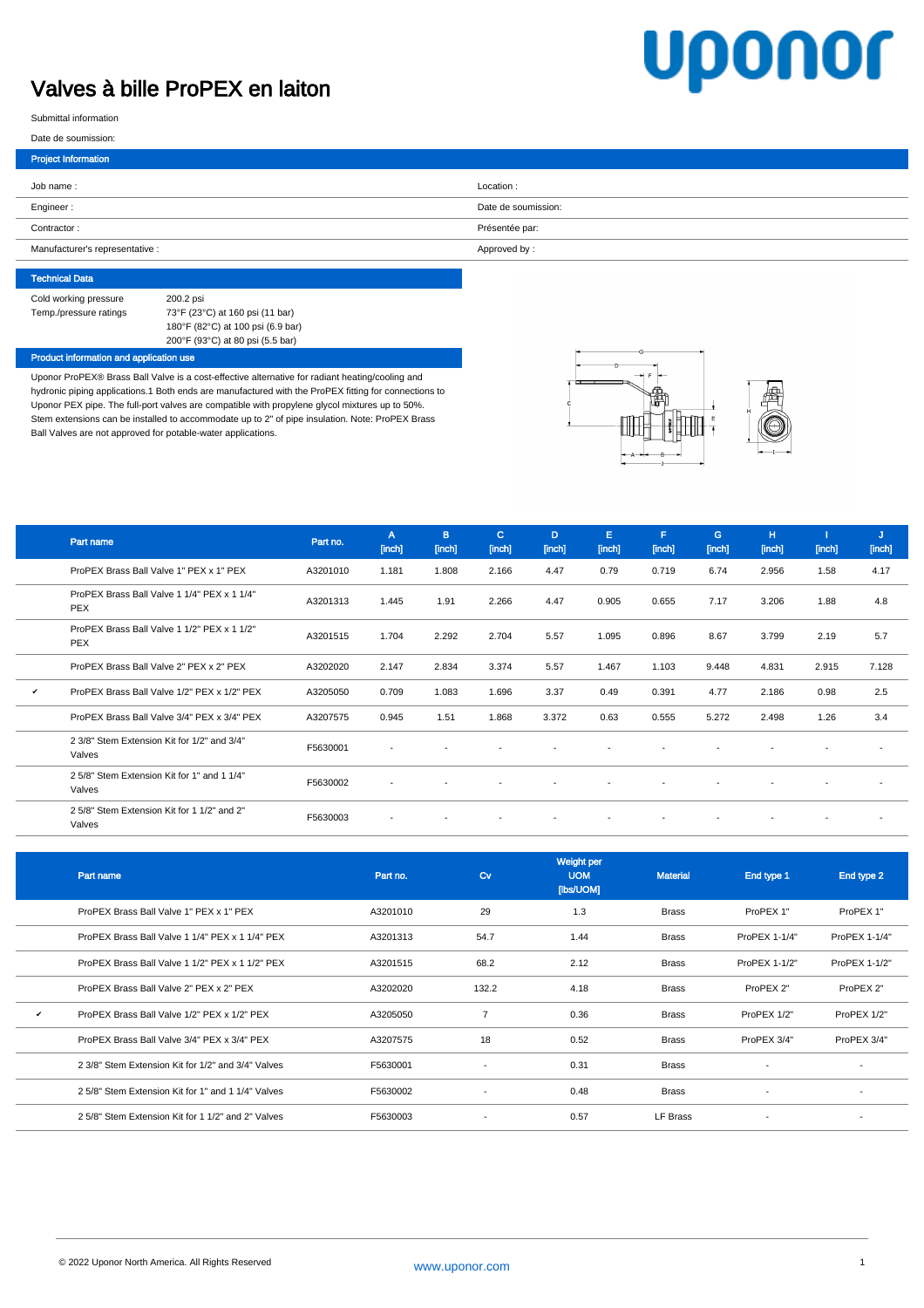## Valves à bille ProPEX en laiton

# **Uponor**

Submittal information

#### Date de soumission:

| Location:           |
|---------------------|
| Date de soumission: |
| Présentée par:      |
| Approved by:        |
|                     |

| <b>Technical Data</b>  |                                   |
|------------------------|-----------------------------------|
| Cold working pressure  | 200.2 psi                         |
| Temp./pressure ratings | 73°F (23°C) at 160 psi (11 bar)   |
|                        | 180°F (82°C) at 100 psi (6.9 bar) |
|                        | 200°F (93°C) at 80 psi (5.5 bar)  |

#### Product information and application use

Uponor ProPEX® Brass Ball Valve is a cost-effective alternative for radiant heating/cooling and hydronic piping applications.1 Both ends are manufactured with the ProPEX fitting for connections to Uponor PEX pipe. The full-port valves are compatible with propylene glycol mixtures up to 50%. Stem extensions can be installed to accommodate up to 2" of pipe insulation. Note: ProPEX Brass Ball Valves are not approved for potable-water applications.



|              | Part name                                                 | Part no. | A<br>[inch] | B.<br>[inch]             | c.<br>[inch]             | D<br>[inch]              | Е<br>[inch]              | F<br>[inch] | G<br>[inch]              | H<br>[inch]              | [inch]                   | J<br>[inch] |
|--------------|-----------------------------------------------------------|----------|-------------|--------------------------|--------------------------|--------------------------|--------------------------|-------------|--------------------------|--------------------------|--------------------------|-------------|
|              | ProPEX Brass Ball Valve 1" PEX x 1" PEX                   | A3201010 | 1.181       | 1.808                    | 2.166                    | 4.47                     | 0.79                     | 0.719       | 6.74                     | 2.956                    | 1.58                     | 4.17        |
|              | ProPEX Brass Ball Valve 1 1/4" PEX x 1 1/4"<br><b>PEX</b> | A3201313 | 1.445       | 1.91                     | 2.266                    | 4.47                     | 0.905                    | 0.655       | 7.17                     | 3.206                    | 1.88                     | 4.8         |
|              | ProPEX Brass Ball Valve 1 1/2" PEX x 1 1/2"<br><b>PEX</b> | A3201515 | 1.704       | 2.292                    | 2.704                    | 5.57                     | 1.095                    | 0.896       | 8.67                     | 3.799                    | 2.19                     | 5.7         |
|              | ProPEX Brass Ball Valve 2" PEX x 2" PEX                   | A3202020 | 2.147       | 2.834                    | 3.374                    | 5.57                     | 1.467                    | 1.103       | 9.448                    | 4.831                    | 2.915                    | 7.128       |
| $\checkmark$ | ProPEX Brass Ball Valve 1/2" PEX x 1/2" PEX               | A3205050 | 0.709       | 1.083                    | 1.696                    | 3.37                     | 0.49                     | 0.391       | 4.77                     | 2.186                    | 0.98                     | 2.5         |
|              | ProPEX Brass Ball Valve 3/4" PEX x 3/4" PEX               | A3207575 | 0.945       | 1.51                     | 1.868                    | 3.372                    | 0.63                     | 0.555       | 5.272                    | 2.498                    | 1.26                     | 3.4         |
|              | 2 3/8" Stem Extension Kit for 1/2" and 3/4"<br>Valves     | F5630001 |             |                          |                          |                          |                          |             |                          |                          |                          |             |
|              | 2 5/8" Stem Extension Kit for 1" and 1 1/4"<br>Valves     | F5630002 | $\sim$      | $\overline{\phantom{a}}$ | $\blacksquare$           |                          |                          |             | $\overline{\phantom{a}}$ |                          | $\overline{\phantom{a}}$ |             |
|              | 2.5/8" Stem Extension Kit for 1.1/2" and 2"<br>Valves     | F5630003 | $\sim$      | $\overline{\phantom{a}}$ | $\overline{\phantom{a}}$ | $\overline{\phantom{a}}$ | $\overline{\phantom{a}}$ |             | $\overline{\phantom{a}}$ | $\overline{\phantom{0}}$ | $\overline{\phantom{a}}$ |             |

|              | Part name                                          | Part no. | $\alpha$                 | Weight per<br><b>UOM</b><br>[lbs/UOM] | <b>Material</b> | End type 1    | End type 2               |
|--------------|----------------------------------------------------|----------|--------------------------|---------------------------------------|-----------------|---------------|--------------------------|
|              | ProPEX Brass Ball Valve 1" PEX x 1" PEX            | A3201010 | 29                       | 1.3                                   | <b>Brass</b>    | ProPEX 1"     | ProPEX 1"                |
|              | ProPEX Brass Ball Valve 1 1/4" PEX x 1 1/4" PEX    | A3201313 | 54.7                     | 1.44                                  | <b>Brass</b>    | ProPEX 1-1/4" | ProPEX 1-1/4"            |
|              | ProPEX Brass Ball Valve 1 1/2" PEX x 1 1/2" PEX    | A3201515 | 68.2                     | 2.12                                  | <b>Brass</b>    | ProPEX 1-1/2" | ProPEX 1-1/2"            |
|              | ProPEX Brass Ball Valve 2" PEX x 2" PEX            | A3202020 | 132.2                    | 4.18                                  | <b>Brass</b>    | ProPEX 2"     | ProPEX 2"                |
| $\checkmark$ | ProPEX Brass Ball Valve 1/2" PEX x 1/2" PEX        | A3205050 | $\overline{7}$           | 0.36                                  | <b>Brass</b>    | ProPEX 1/2"   | ProPEX 1/2"              |
|              | ProPEX Brass Ball Valve 3/4" PEX x 3/4" PEX        | A3207575 | 18                       | 0.52                                  | <b>Brass</b>    | ProPEX 3/4"   | ProPEX 3/4"              |
|              | 2 3/8" Stem Extension Kit for 1/2" and 3/4" Valves | F5630001 | ٠                        | 0.31                                  | <b>Brass</b>    |               | $\overline{\phantom{a}}$ |
|              | 2 5/8" Stem Extension Kit for 1" and 1 1/4" Valves | F5630002 | $\overline{\phantom{a}}$ | 0.48                                  | <b>Brass</b>    |               | $\overline{\phantom{a}}$ |
|              | 2.5/8" Stem Extension Kit for 1.1/2" and 2" Valves | F5630003 | $\overline{\phantom{a}}$ | 0.57                                  | LF Brass        |               | $\overline{\phantom{a}}$ |